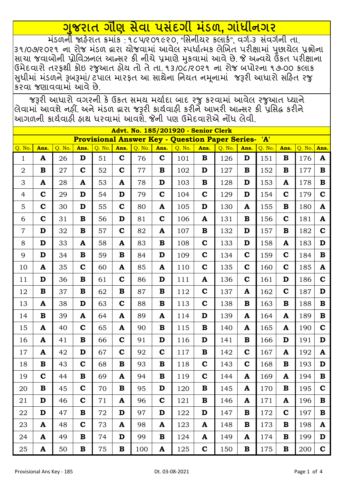## <u>ગુજરાત ગૌણ સેવા પસંદગી મંડળ, ગાંધીનગર</u>

<u> મંડળની જાહેરાત ક્રમાંક : ૧૮૫૨૦૧૯૨૦, "સિનીચર કલાર્ક", વર્ગ-૩ સંવર્ગની તા.</u> 3૧/0૭/૨૦૨૧ ના રોજ મંડળ દ્વારા ચોજવામાં આવેલ સ્પર્ધાત્મક લેખિત પરીક્ષામાં પૂછાચેલ પ્રશ્નોના સાચા જવાબોની પ્રોવિઝનલ આન્સર કી નીચે પ્રમાણે મુકવામાં આવે છે. જે અન્વચે ઉંકત પરીક્ષાના ઉમેદવારો તરફથી કોઇ રજુઆત ફોચ તો તે તા. ૧૩/૦૮/૨૦૨૧ ના રોજ બપોરના ૧૭-૦૦ કલાક સુધીમાં મંડળને રૂબરૂમાં/ ટપાલ મારફત આ સાથેના નિયત નમૂનામાં જરૂરી આધારો સહિત રજુ કરવા જણાવવામાં આવે છે

જરૂરી આધારો વગરની કે ઉકત સમય મર્યાદા બાદ રજુ કરવામાં આવેલ રજુઆત ધ્યાને વિવામાં આવશે નહીં. અને મંડળ દ્વારા જરૂરી કાર્યવાહી કરીને આખરી આન્સર કી પ્રસિદ્ધ કરીને |આગળની કાર્યવાઠી ફાથ ધરવામાં આવશેૅ. જેની પણ ઉમેદવારોએ નોંધ લેવી.

|                | Advt. No. 185/201920 - Senior Clerk |        |             |        |             |        |              |        |             |                                                        |              |        |              |        |              |
|----------------|-------------------------------------|--------|-------------|--------|-------------|--------|--------------|--------|-------------|--------------------------------------------------------|--------------|--------|--------------|--------|--------------|
|                |                                     |        |             |        |             |        |              |        |             | <b>Provisional Answer Key - Question Paper Series-</b> |              | 'A'    |              |        |              |
| Q. No.         | Ans.                                | Q. No. | Ans.        | Q. No. | Ans.        | Q. No. | Ans.         | Q. No. | Ans.        | Q. No.                                                 | Ans.         | Q. No. | Ans.         | Q. No. | Ans.         |
| $\mathbf{1}$   | A                                   | 26     | D           | 51     | $\mathbf C$ | 76     | $\mathbf C$  | 101    | $\mathbf B$ | 126                                                    | D            | 151    | B            | 176    | A            |
| $\overline{2}$ | $\bf{B}$                            | 27     | $\mathbf C$ | 52     | $\mathbf C$ | 77     | B            | 102    | D           | 127                                                    | B            | 152    | B            | 177    | $\mathbf B$  |
| 3              | A                                   | 28     | A           | 53     | A           | 78     | D            | 103    | $\mathbf B$ | 128                                                    | D            | 153    | A            | 178    | $\bf{B}$     |
| 4              | $\mathbf C$                         | 29     | D           | 54     | D           | 79     | $\mathbf C$  | 104    | $\mathbf C$ | 129                                                    | D            | 154    | $\mathbf C$  | 179    | $\mathbf C$  |
| 5              | $\mathbf C$                         | 30     | D           | 55     | $\mathbf C$ | 80     | $\mathbf{A}$ | 105    | D           | 130                                                    | $\mathbf{A}$ | 155    | $\bf{B}$     | 180    | $\mathbf{A}$ |
| 6              | $\mathbf C$                         | 31     | B           | 56     | D           | 81     | $\mathbf C$  | 106    | A           | 131                                                    | B            | 156    | $\mathbf C$  | 181    | $\mathbf{A}$ |
| $\overline{7}$ | D                                   | 32     | $\bf{B}$    | 57     | $\mathbf C$ | 82     | $\mathbf{A}$ | 107    | $\bf{B}$    | 132                                                    | D            | 157    | $\bf{B}$     | 182    | $\mathbf C$  |
| 8              | D                                   | 33     | A           | 58     | A           | 83     | B            | 108    | $\mathbf C$ | 133                                                    | D            | 158    | A            | 183    | D            |
| 9              | D                                   | 34     | $\bf{B}$    | 59     | $\bf{B}$    | 84     | D            | 109    | $\mathbf C$ | 134                                                    | $\mathbf C$  | 159    | $\mathbf C$  | 184    | $\mathbf B$  |
| 10             | A                                   | 35     | $\mathbf C$ | 60     | A           | 85     | $\mathbf{A}$ | 110    | $\mathbf C$ | 135                                                    | $\mathbf C$  | 160    | $\mathbf C$  | 185    | $\mathbf{A}$ |
| 11             | D                                   | 36     | $\bf{B}$    | 61     | $\mathbf C$ | 86     | D            | 111    | A           | 136                                                    | $\mathbf C$  | 161    | D            | 186    | $\mathbf C$  |
| 12             | $\mathbf B$                         | 37     | B           | 62     | B           | 87     | $\mathbf B$  | 112    | $\mathbf C$ | 137                                                    | A            | 162    | $\mathbf C$  | 187    | D            |
| 13             | A                                   | 38     | D           | 63     | $\mathbf C$ | 88     | $\bf{B}$     | 113    | $\mathbf C$ | 138                                                    | B            | 163    | $\bf{B}$     | 188    | $\bf{B}$     |
| 14             | $\bf{B}$                            | 39     | A           | 64     | A           | 89     | A            | 114    | D           | 139                                                    | A            | 164    | A            | 189    | $\bf{B}$     |
| 15             | A                                   | 40     | $\mathbf C$ | 65     | A           | 90     | B            | 115    | B           | 140                                                    | A            | 165    | A            | 190    | $\mathbf C$  |
| 16             | A                                   | 41     | B           | 66     | $\mathbf C$ | 91     | D            | 116    | D           | 141                                                    | B            | 166    | D            | 191    | D            |
| 17             | A                                   | 42     | D           | 67     | $\mathbf C$ | 92     | $\mathbf C$  | 117    | B           | 142                                                    | $\mathbf C$  | 167    | A            | 192    | A            |
| 18             | $\mathbf B$                         | 43     | $\mathbf C$ | 68     | $\bf{B}$    | 93     | $\mathbf B$  | 118    | $\mathbf C$ | 143                                                    | $\mathbf C$  | 168    | $\bf{B}$     | 193    | D            |
| 19             | $\mathbf C$                         | 44     | $\mathbf B$ | 69     | A           | 94     | $\mathbf B$  | 119    | $\mathbf C$ | 144                                                    | A            | 169    | $\mathbf{A}$ | 194    | ${\bf B}$    |
| 20             | B                                   | 45     | $\mathbf C$ | 70     | $\bf{B}$    | 95     | D            | 120    | B           | 145                                                    | A            | 170    | B            | 195    | $\mathbf C$  |
| 21             | D                                   | 46     | $\mathbf C$ | 71     | A           | 96     | $\mathbf C$  | 121    | B           | 146                                                    | A            | 171    | A            | 196    | $\bf{B}$     |
| 22             | D                                   | 47     | $\bf{B}$    | 72     | D           | 97     | D            | 122    | D           | 147                                                    | B            | 172    | $\mathbf C$  | 197    | $\bf{B}$     |
| 23             | $\mathbf{A}$                        | 48     | $\mathbf C$ | 73     | A           | 98     | A            | 123    | A           | 148                                                    | B            | 173    | B            | 198    | A            |
| 24             | A                                   | 49     | $\bf{B}$    | 74     | D           | 99     | B            | 124    | A           | 149                                                    | A            | 174    | $\bf{B}$     | 199    | D            |
| 25             | A                                   | 50     | $\bf{B}$    | 75     | $\bf{B}$    | 100    | A            | 125    | $\mathbf C$ | 150                                                    | $\bf{B}$     | 175    | $\bf{B}$     | 200    | $\mathbf C$  |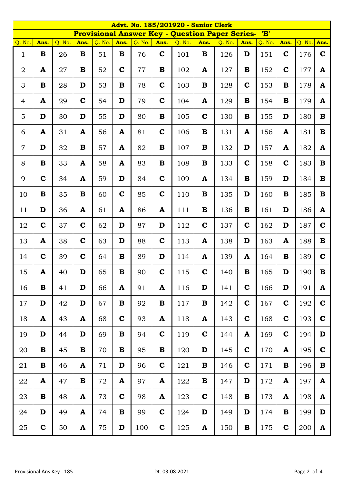|                | <b>Advt. No. 185/201920 - Senior Clerk</b><br><b>Provisional Answer Key - Question Paper Series-</b> |        |             |        |              |        |              |        |              |        |             |               |             |        |              |
|----------------|------------------------------------------------------------------------------------------------------|--------|-------------|--------|--------------|--------|--------------|--------|--------------|--------|-------------|---------------|-------------|--------|--------------|
| Q. No.         | Ans.                                                                                                 | Q. No. | Ans.        | Q. No. | Ans.         | Q. No. | Ans.         | Q. No. | Ans.         | Q. No. | Ans.        | 'B'<br>Q. No. | Ans.        | Q. No. | Ans.         |
|                | $\bf{B}$                                                                                             |        | $\bf{B}$    |        | $\bf{B}$     |        | $\mathbf C$  |        | $\mathbf{B}$ |        | D           |               | $\mathbf C$ |        | $\mathbf C$  |
| $\mathbf{1}$   |                                                                                                      | 26     |             | 51     |              | 76     |              | 101    |              | 126    |             | 151           |             | 176    |              |
| 2              | A                                                                                                    | 27     | B           | 52     | $\mathbf C$  | 77     | $\bf{B}$     | 102    | A            | 127    | $\bf{B}$    | 152           | $\mathbf C$ | 177    | $\mathbf{A}$ |
| 3              | $\bf{B}$                                                                                             | 28     | D           | 53     | $\mathbf B$  | 78     | $\mathbf C$  | 103    | $\mathbf{B}$ | 128    | $\mathbf C$ | 153           | $\mathbf B$ | 178    | $\mathbf{A}$ |
| $\overline{4}$ | A                                                                                                    | 29     | $\mathbf C$ | 54     | D            | 79     | $\mathbf C$  | 104    | A            | 129    | B           | 154           | B           | 179    | $\mathbf{A}$ |
| 5              | D                                                                                                    | 30     | D           | 55     | D            | 80     | $\mathbf B$  | 105    | $\mathbf C$  | 130    | B           | 155           | D           | 180    | $\bf{B}$     |
| 6              | A                                                                                                    | 31     | A           | 56     | A            | 81     | $\mathbf C$  | 106    | $\mathbf B$  | 131    | A           | 156           | A           | 181    | $\bf{B}$     |
| $\overline{7}$ | D                                                                                                    | 32     | $\mathbf B$ | 57     | $\mathbf{A}$ | 82     | $\mathbf{B}$ | 107    | $\mathbf{B}$ | 132    | D           | 157           | A           | 182    | $\mathbf{A}$ |
| 8              | $\bf{B}$                                                                                             | 33     | A           | 58     | A            | 83     | $\bf{B}$     | 108    | $\mathbf B$  | 133    | $\mathbf C$ | 158           | $\mathbf C$ | 183    | $\bf{B}$     |
| 9              | $\mathbf C$                                                                                          | 34     | A           | 59     | D            | 84     | $\mathbf C$  | 109    | A            | 134    | B           | 159           | D           | 184    | $\bf{B}$     |
| 10             | $\bf{B}$                                                                                             | 35     | $\bf{B}$    | 60     | $\mathbf C$  | 85     | $\mathbf C$  | 110    | $\mathbf{B}$ | 135    | D           | 160           | B           | 185    | $\mathbf{B}$ |
| 11             | D                                                                                                    | 36     | A           | 61     | ${\bf A}$    | 86     | ${\bf A}$    | 111    | $\mathbf B$  | 136    | $\bf{B}$    | 161           | D           | 186    | ${\bf A}$    |
| 12             | $\mathbf C$                                                                                          | 37     | $\mathbf C$ | 62     | D            | 87     | D            | 112    | $\mathbf C$  | 137    | $\mathbf C$ | 162           | D           | 187    | $\mathbf C$  |
| 13             | ${\bf A}$                                                                                            | 38     | $\mathbf C$ | 63     | D            | 88     | $\mathbf C$  | 113    | A            | 138    | D           | 163           | A           | 188    | $\bf{B}$     |
| 14             | $\mathbf C$                                                                                          | 39     | $\mathbf C$ | 64     | $\mathbf B$  | 89     | D            | 114    | A            | 139    | A           | 164           | $\mathbf B$ | 189    | $\mathbf C$  |
| 15             | A                                                                                                    | 40     | D           | 65     | $\bf{B}$     | 90     | $\mathbf C$  | 115    | $\mathbf C$  | 140    | $\bf{B}$    | 165           | D           | 190    | $\mathbf B$  |
| 16             | $\bf{B}$                                                                                             | 41     | D           | 66     | A            | 91     | ${\bf A}$    | 116    | D            | 141    | $\mathbf C$ | 166           | D           | 191    | $\mathbf{A}$ |
| 17             | D                                                                                                    | 42     | D           | 67     | $\bf{B}$     | 92     | $\mathbf B$  | 117    | $\bf{B}$     | 142    | $\mathbf C$ | 167           | $\mathbf C$ | 192    | $\mathbf C$  |
| 18             | ${\bf A}$                                                                                            | 43     | A           | 68     | $\mathbf C$  | 93     | $\mathbf{A}$ | 118    | $\mathbf{A}$ | 143    | $\mathbf C$ | 168           | $\mathbf C$ | 193    | $\mathbf C$  |
| 19             | D                                                                                                    | 44     | D           | 69     | $\bf{B}$     | 94     | $\mathbf C$  | 119    | $\mathbf C$  | 144    | A           | 169           | $\mathbf C$ | 194    | D            |
| 20             | B                                                                                                    | 45     | $\bf{B}$    | 70     | B            | 95     | $\bf{B}$     | 120    | D            | 145    | $\mathbf C$ | 170           | A           | 195    | $\mathbf C$  |
| 21             | $\bf{B}$                                                                                             | 46     | A           | 71     | D            | 96     | $\mathbf C$  | 121    | $\bf{B}$     | 146    | $\mathbf C$ | 171           | $\bf{B}$    | 196    | $\bf{B}$     |
| 22             | ${\bf A}$                                                                                            | 47     | $\bf{B}$    | 72     | A            | 97     | A            | 122    | $\bf{B}$     | 147    | D           | 172           | A           | 197    | $\mathbf{A}$ |
| 23             | $\bf{B}$                                                                                             | 48     | A           | 73     | $\mathbf C$  | 98     | A            | 123    | $\mathbf C$  | 148    | B           | 173           | A           | 198    | A            |
| 24             | D                                                                                                    | 49     | A           | 74     | B            | 99     | $\mathbf C$  | 124    | D            | 149    | D           | 174           | B           | 199    | D            |
| 25             | $\mathbf C$                                                                                          | 50     | A           | 75     | D            | 100    | $\mathbf C$  | 125    | A            | 150    | $\bf{B}$    | 175           | $\mathbf C$ | 200    | A            |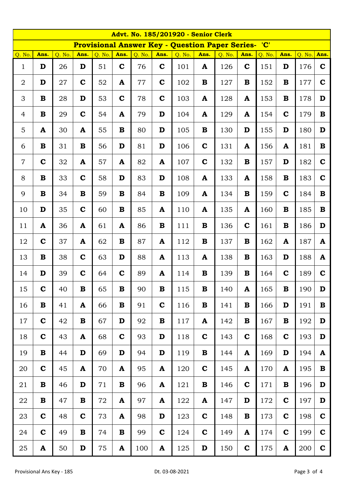|                | Advt. No. 185/201920 - Senior Clerk |        |             |        |              |        |             |                                                        |             |        |              |        |              |          |              |
|----------------|-------------------------------------|--------|-------------|--------|--------------|--------|-------------|--------------------------------------------------------|-------------|--------|--------------|--------|--------------|----------|--------------|
|                |                                     |        |             |        |              |        |             | <b>Provisional Answer Key - Question Paper Series-</b> |             |        |              | 'C'    |              |          |              |
| Q. No.         | Ans.                                | Q. No. | Ans.        | Q. No. | Ans.         | Q. No. | Ans.        | Q. No.                                                 | Ans.        | Q. No. | Ans.         | Q. No. | Ans.         | $Q.$ No. | Ans.         |
| $\mathbf{1}$   | D                                   | 26     | D           | 51     | $\mathbf C$  | 76     | $\mathbf C$ | 101                                                    | A           | 126    | $\mathbf C$  | 151    | D            | 176      | $\mathbf C$  |
| $\overline{2}$ | D                                   | 27     | $\mathbf C$ | 52     | A            | 77     | $\mathbf C$ | 102                                                    | $\bf{B}$    | 127    | B            | 152    | B            | 177      | $\mathbf C$  |
| 3              | $\mathbf B$                         | 28     | D           | 53     | $\mathbf C$  | 78     | $\mathbf C$ | 103                                                    | A           | 128    | A            | 153    | B            | 178      | D            |
| $\overline{4}$ | $\mathbf B$                         | 29     | $\mathbf C$ | 54     | ${\bf A}$    | 79     | D           | 104                                                    | ${\bf A}$   | 129    | A            | 154    | $\mathbf C$  | 179      | $\bf{B}$     |
| 5              | ${\bf A}$                           | 30     | A           | 55     | $\bf{B}$     | 80     | D           | 105                                                    | $\bf{B}$    | 130    | D            | 155    | D            | 180      | D            |
| 6              | $\bf{B}$                            | 31     | B           | 56     | D            | 81     | D           | 106                                                    | $\mathbf C$ | 131    | $\mathbf{A}$ | 156    | A            | 181      | $\bf{B}$     |
| $\overline{7}$ | $\mathbf C$                         | 32     | A           | 57     | ${\bf A}$    | 82     | ${\bf A}$   | 107                                                    | $\mathbf C$ | 132    | $\bf{B}$     | 157    | D            | 182      | $\mathbf C$  |
| 8              | $\bf{B}$                            | 33     | $\mathbf C$ | 58     | D            | 83     | D           | 108                                                    | A           | 133    | A            | 158    | B            | 183      | $\mathbf C$  |
| 9              | $\mathbf B$                         | 34     | $\bf{B}$    | 59     | $\bf{B}$     | 84     | $\bf{B}$    | 109                                                    | A           | 134    | B            | 159    | $\mathbf C$  | 184      | $\bf{B}$     |
| 10             | D                                   | 35     | $\mathbf C$ | 60     | $\mathbf{B}$ | 85     | ${\bf A}$   | 110                                                    | ${\bf A}$   | 135    | A            | 160    | $\bf{B}$     | 185      | $\mathbf{B}$ |
| 11             | $\mathbf{A}$                        | 36     | A           | 61     | ${\bf A}$    | 86     | $\bf{B}$    | 111                                                    | $\bf{B}$    | 136    | $\mathbf C$  | 161    | B            | 186      | D            |
| 12             | $\mathbf C$                         | 37     | A           | 62     | $\bf{B}$     | 87     | A           | 112                                                    | $\bf{B}$    | 137    | $\bf{B}$     | 162    | $\mathbf{A}$ | 187      | $\mathbf{A}$ |
| 13             | $\mathbf B$                         | 38     | $\mathbf C$ | 63     | D            | 88     | ${\bf A}$   | 113                                                    | A           | 138    | B            | 163    | D            | 188      | ${\bf A}$    |
| 14             | D                                   | 39     | $\mathbf C$ | 64     | $\mathbf C$  | 89     | A           | 114                                                    | $\bf{B}$    | 139    | $\bf{B}$     | 164    | $\mathbf C$  | 189      | $\mathbf C$  |
| 15             | $\mathbf C$                         | 40     | B           | 65     | B            | 90     | B           | 115                                                    | B           | 140    | A            | 165    | B            | 190      | D            |
| 16             | $\bf{B}$                            | 41     | A           | 66     | B            | 91     | $\mathbf C$ | 116                                                    | $\bf{B}$    | 141    | B            | 166    | D            | 191      | $\bf{B}$     |
| 17             | $\mathbf C$                         | 42     | $\bf{B}$    | 67     | D            | 92     | $\bf{B}$    | 117                                                    | A           | 142    | $\bf{B}$     | 167    | B            | 192      | D            |
| 18             | $\mathbf C$                         | 43     | A           | 68     | $\mathbf C$  | 93     | D           | 118                                                    | $\mathbf C$ | 143    | $\mathbf C$  | 168    | $\mathbf C$  | 193      | D            |
| 19             | $\mathbf B$                         | 44     | D           | 69     | D            | 94     | D           | 119                                                    | $\bf{B}$    | 144    | $\mathbf{A}$ | 169    | D            | 194      | ${\bf A}$    |
| 20             | $\mathbf C$                         | 45     | A           | 70     | ${\bf A}$    | 95     | ${\bf A}$   | 120                                                    | $\mathbf C$ | 145    | A            | 170    | $\mathbf{A}$ | 195      | $\bf{B}$     |
| 21             | $\mathbf B$                         | 46     | D           | 71     | $\bf{B}$     | 96     | ${\bf A}$   | 121                                                    | $\bf{B}$    | 146    | $\mathbf C$  | 171    | B            | 196      | D            |
| 22             | $\mathbf B$                         | 47     | $\bf{B}$    | 72     | ${\bf A}$    | 97     | A           | 122                                                    | A           | 147    | D            | 172    | $\mathbf C$  | 197      | D            |
| 23             | $\mathbf C$                         | 48     | $\mathbf C$ | 73     | A            | 98     | D           | 123                                                    | $\mathbf C$ | 148    | В            | 173    | $\mathbf C$  | 198      | $\mathbf C$  |
| 24             | $\mathbf C$                         | 49     | $\bf{B}$    | 74     | $\bf{B}$     | 99     | $\mathbf C$ | 124                                                    | $\mathbf C$ | 149    | A            | 174    | $\mathbf C$  | 199      | $\mathbf C$  |
| 25             | $\mathbf A$                         | 50     | $\mathbf D$ | $75\,$ | A            | 100    | A           | 125                                                    | D           | 150    | $\mathbf C$  | 175    | $\mathbf A$  | 200      | $\mathbf C$  |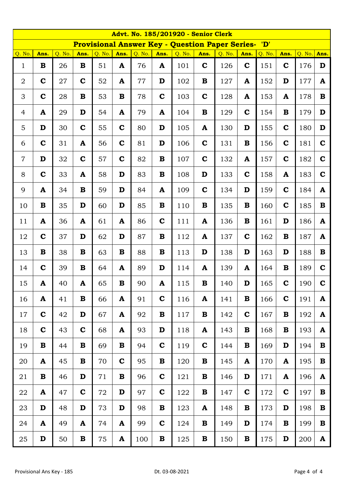|                | <b>Advt. No. 185/201920 - Senior Clerk</b> |        |              |        |             |        |             |                                                        |             |        |              |        |             |        |              |
|----------------|--------------------------------------------|--------|--------------|--------|-------------|--------|-------------|--------------------------------------------------------|-------------|--------|--------------|--------|-------------|--------|--------------|
|                |                                            |        |              |        |             |        |             | <b>Provisional Answer Key - Question Paper Series-</b> |             |        |              | 'D'    |             |        |              |
| Q. No.         | Ans.                                       | Q. No. | Ans.         | Q. No. | Ans.        | Q. No. | Ans.        | Q. No.                                                 | Ans.        | Q. No. | Ans.         | Q. No. | Ans.        | Q. No. | Ans.         |
| $\mathbf{1}$   | $\mathbf B$                                | 26     | $\bf{B}$     | 51     | A           | 76     | ${\bf A}$   | 101                                                    | $\mathbf C$ | 126    | $\mathbf C$  | 151    | $\mathbf C$ | 176    | D            |
| $\overline{2}$ | $\mathbf C$                                | 27     | $\mathbf C$  | 52     | A           | 77     | D           | 102                                                    | B           | 127    | $\mathbf{A}$ | 152    | D           | 177    | $\mathbf{A}$ |
| 3              | $\mathbf C$                                | 28     | $\bf{B}$     | 53     | $\bf{B}$    | 78     | $\mathbf C$ | 103                                                    | $\mathbf C$ | 128    | A            | 153    | A           | 178    | $\bf{B}$     |
| $\overline{4}$ | $\mathbf{A}$                               | 29     | D            | 54     | A           | 79     | A           | 104                                                    | $\bf{B}$    | 129    | $\mathbf C$  | 154    | $\bf{B}$    | 179    | D            |
| 5              | $\mathbf D$                                | 30     | $\mathbf C$  | 55     | $\mathbf C$ | 80     | $\mathbf D$ | 105                                                    | ${\bf A}$   | 130    | D            | 155    | $\mathbf C$ | 180    | D            |
| 6              | $\mathbf C$                                | 31     | A            | 56     | $\mathbf C$ | 81     | D           | 106                                                    | $\mathbf C$ | 131    | $\bf{B}$     | 156    | $\mathbf C$ | 181    | $\mathbf C$  |
| $\overline{7}$ | D                                          | 32     | $\mathbf C$  | 57     | $\mathbf C$ | 82     | $\mathbf B$ | 107                                                    | $\mathbf C$ | 132    | A            | 157    | $\mathbf C$ | 182    | $\mathbf C$  |
| 8              | $\mathbf C$                                | 33     | A            | 58     | D           | 83     | $\mathbf B$ | 108                                                    | D           | 133    | $\mathbf C$  | 158    | A           | 183    | $\mathbf C$  |
| 9              | ${\bf A}$                                  | 34     | $\bf{B}$     | 59     | D           | 84     | ${\bf A}$   | 109                                                    | $\mathbf C$ | 134    | D            | 159    | $\mathbf C$ | 184    | $\mathbf{A}$ |
| 10             | $\mathbf B$                                | 35     | D            | 60     | D           | 85     | $\mathbf B$ | 110                                                    | B           | 135    | B            | 160    | $\mathbf C$ | 185    | $\bf{B}$     |
| 11             | ${\bf A}$                                  | 36     | $\mathbf{A}$ | 61     | ${\bf A}$   | 86     | $\mathbf C$ | 111                                                    | ${\bf A}$   | 136    | $\bf{B}$     | 161    | D           | 186    | $\mathbf{A}$ |
| 12             | $\mathbf C$                                | 37     | D            | 62     | D           | 87     | $\mathbf B$ | 112                                                    | ${\bf A}$   | 137    | $\mathbf C$  | 162    | $\bf{B}$    | 187    | $\mathbf{A}$ |
| 13             | $\mathbf B$                                | 38     | $\bf{B}$     | 63     | $\bf{B}$    | 88     | $\mathbf B$ | 113                                                    | D           | 138    | D            | 163    | D           | 188    | $\mathbf B$  |
| 14             | $\mathbf C$                                | 39     | $\bf{B}$     | 64     | A           | 89     | D           | 114                                                    | A           | 139    | A            | 164    | $\bf{B}$    | 189    | $\mathbf C$  |
| 15             | A                                          | 40     | A            | 65     | $\bf{B}$    | 90     | A           | 115                                                    | $\bf{B}$    | 140    | D            | 165    | $\mathbf C$ | 190    | $\mathbf C$  |
| 16             | A                                          | 41     | $\bf{B}$     | 66     | A           | 91     | $\mathbf C$ | 116                                                    | A           | 141    | $\bf{B}$     | 166    | $\mathbf C$ | 191    | A            |
| 17             | $\mathbf C$                                | 42     | D            | 67     | A           | 92     | $\mathbf B$ | 117                                                    | B           | 142    | $\mathbf C$  | 167    | $\bf{B}$    | 192    | A            |
| 18             | $\mathbf C$                                | 43     | $\mathbf C$  | 68     | A           | 93     | D           | 118                                                    | A           | 143    | B            | 168    | B           | 193    | ${\bf A}$    |
| 19             | $\bf{B}$                                   | 44     | $\bf{B}$     | 69     | B           | 94     | $\mathbf C$ | 119                                                    | $\mathbf C$ | 144    | $\bf{B}$     | 169    | D           | 194    | $\bf{B}$     |
| 20             | ${\bf A}$                                  | 45     | $\bf{B}$     | 70     | $\mathbf C$ | 95     | $\mathbf B$ | 120                                                    | B           | 145    | $\mathbf{A}$ | 170    | A           | 195    | B            |
| 21             | B                                          | 46     | D            | 71     | $\bf{B}$    | 96     | $\mathbf C$ | 121                                                    | $\bf{B}$    | 146    | D            | 171    | A           | 196    | A            |
| 22             | ${\bf A}$                                  | 47     | $\mathbf C$  | 72     | $\mathbf D$ | 97     | $\mathbf C$ | 122                                                    | $\bf{B}$    | 147    | $\mathbf C$  | 172    | $\mathbf C$ | 197    | B            |
| 23             | D                                          | 48     | D            | 73     | D           | 98     | $\bf{B}$    | 123                                                    | A           | 148    | $\bf{B}$     | 173    | D           | 198    | $\bf{B}$     |
| 24             | ${\bf A}$                                  | 49     | A            | 74     | A           | 99     | $\mathbf C$ | 124                                                    | B           | 149    | D            | 174    | B           | 199    | $\bf{B}$     |
| 25             | D                                          | 50     | $\bf{B}$     | 75     | A           | 100    | $\mathbf B$ | 125                                                    | B           | 150    | $\bf{B}$     | 175    | D           | 200    | A            |